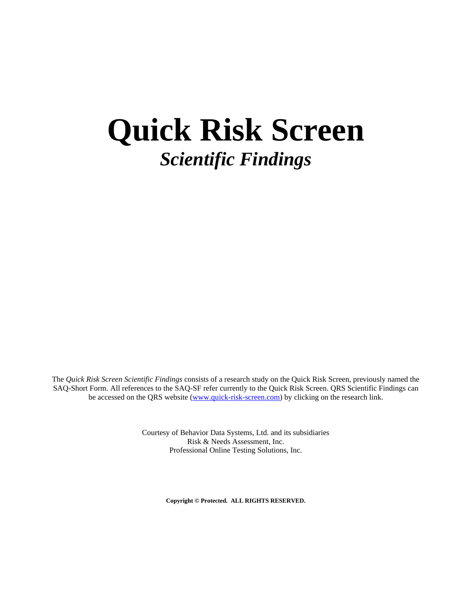# **Quick Risk Screen** *Scientific Findings*

The *Quick Risk Screen Scientific Findings* consists of a research study on the Quick Risk Screen, previously named the SAQ-Short Form. All references to the SAQ-SF refer currently to the Quick Risk Screen. QRS Scientific Findings can be accessed on the QRS website [\(www.quick-risk-screen.com\)](http://www.quick-risk-screen.com/) by clicking on the research link.

> Courtesy of Behavior Data Systems, Ltd. and its subsidiaries Risk & Needs Assessment, Inc. Professional Online Testing Solutions, Inc.

> > **Copyright © Protected. ALL RIGHTS RESERVED.**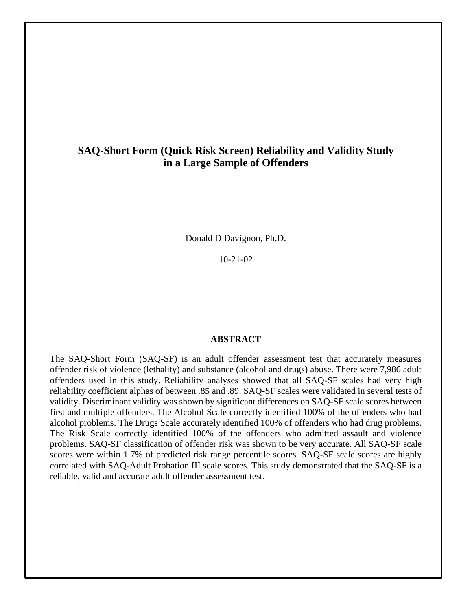# **SAQ-Short Form (Quick Risk Screen) Reliability and Validity Study in a Large Sample of Offenders**

Donald D Davignon, Ph.D.

10-21-02

## **ABSTRACT**

The SAQ-Short Form (SAQ-SF) is an adult offender assessment test that accurately measures offender risk of violence (lethality) and substance (alcohol and drugs) abuse. There were 7,986 adult offenders used in this study. Reliability analyses showed that all SAQ-SF scales had very high reliability coefficient alphas of between .85 and .89. SAQ-SF scales were validated in several tests of validity. Discriminant validity was shown by significant differences on SAQ-SF scale scores between first and multiple offenders. The Alcohol Scale correctly identified 100% of the offenders who had alcohol problems. The Drugs Scale accurately identified 100% of offenders who had drug problems. The Risk Scale correctly identified 100% of the offenders who admitted assault and violence problems. SAQ-SF classification of offender risk was shown to be very accurate. All SAQ-SF scale scores were within 1.7% of predicted risk range percentile scores. SAQ-SF scale scores are highly correlated with SAQ-Adult Probation III scale scores. This study demonstrated that the SAQ-SF is a reliable, valid and accurate adult offender assessment test.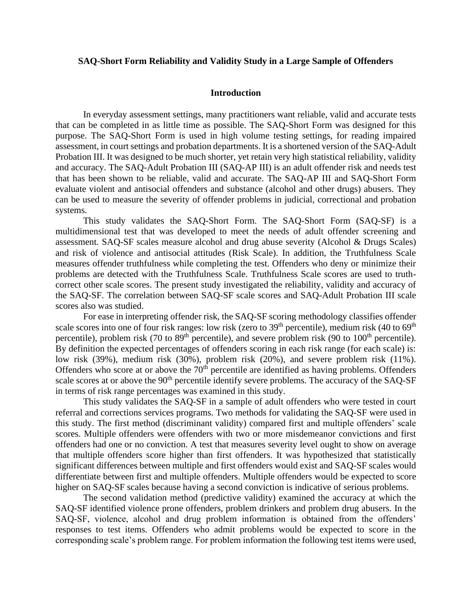## **SAQ-Short Form Reliability and Validity Study in a Large Sample of Offenders**

#### **Introduction**

In everyday assessment settings, many practitioners want reliable, valid and accurate tests that can be completed in as little time as possible. The SAQ-Short Form was designed for this purpose. The SAQ-Short Form is used in high volume testing settings, for reading impaired assessment, in court settings and probation departments. It is a shortened version of the SAQ-Adult Probation III. It was designed to be much shorter, yet retain very high statistical reliability, validity and accuracy. The SAQ-Adult Probation III (SAQ-AP III) is an adult offender risk and needs test that has been shown to be reliable, valid and accurate. The SAQ-AP III and SAQ-Short Form evaluate violent and antisocial offenders and substance (alcohol and other drugs) abusers. They can be used to measure the severity of offender problems in judicial, correctional and probation systems.

This study validates the SAQ-Short Form. The SAQ-Short Form (SAQ-SF) is a multidimensional test that was developed to meet the needs of adult offender screening and assessment. SAQ-SF scales measure alcohol and drug abuse severity (Alcohol & Drugs Scales) and risk of violence and antisocial attitudes (Risk Scale). In addition, the Truthfulness Scale measures offender truthfulness while completing the test. Offenders who deny or minimize their problems are detected with the Truthfulness Scale. Truthfulness Scale scores are used to truthcorrect other scale scores. The present study investigated the reliability, validity and accuracy of the SAQ-SF. The correlation between SAQ-SF scale scores and SAQ-Adult Probation III scale scores also was studied.

For ease in interpreting offender risk, the SAQ-SF scoring methodology classifies offender scale scores into one of four risk ranges: low risk (zero to  $39<sup>th</sup>$  percentile), medium risk (40 to  $69<sup>th</sup>$ percentile), problem risk (70 to  $89<sup>th</sup>$  percentile), and severe problem risk (90 to  $100<sup>th</sup>$  percentile). By definition the expected percentages of offenders scoring in each risk range (for each scale) is: low risk (39%), medium risk (30%), problem risk (20%), and severe problem risk (11%). Offenders who score at or above the 70<sup>th</sup> percentile are identified as having problems. Offenders scale scores at or above the 90<sup>th</sup> percentile identify severe problems. The accuracy of the SAQ-SF in terms of risk range percentages was examined in this study.

This study validates the SAQ-SF in a sample of adult offenders who were tested in court referral and corrections services programs. Two methods for validating the SAQ-SF were used in this study. The first method (discriminant validity) compared first and multiple offenders' scale scores. Multiple offenders were offenders with two or more misdemeanor convictions and first offenders had one or no conviction. A test that measures severity level ought to show on average that multiple offenders score higher than first offenders. It was hypothesized that statistically significant differences between multiple and first offenders would exist and SAQ-SF scales would differentiate between first and multiple offenders. Multiple offenders would be expected to score higher on SAQ-SF scales because having a second conviction is indicative of serious problems.

The second validation method (predictive validity) examined the accuracy at which the SAQ-SF identified violence prone offenders, problem drinkers and problem drug abusers. In the SAQ-SF, violence, alcohol and drug problem information is obtained from the offenders' responses to test items. Offenders who admit problems would be expected to score in the corresponding scale's problem range. For problem information the following test items were used,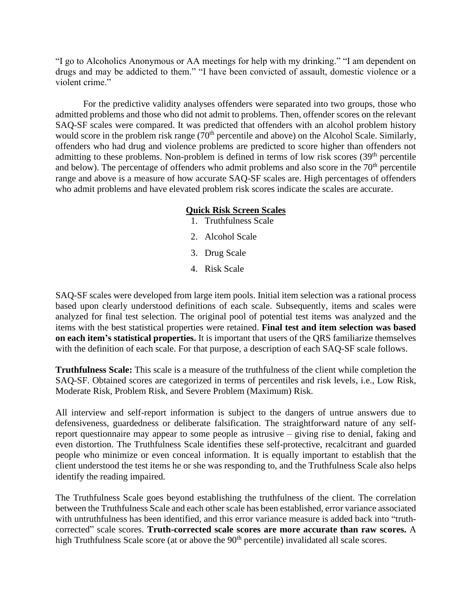"I go to Alcoholics Anonymous or AA meetings for help with my drinking." "I am dependent on drugs and may be addicted to them." "I have been convicted of assault, domestic violence or a violent crime."

For the predictive validity analyses offenders were separated into two groups, those who admitted problems and those who did not admit to problems. Then, offender scores on the relevant SAQ-SF scales were compared. It was predicted that offenders with an alcohol problem history would score in the problem risk range (70<sup>th</sup> percentile and above) on the Alcohol Scale. Similarly, offenders who had drug and violence problems are predicted to score higher than offenders not admitting to these problems. Non-problem is defined in terms of low risk scores  $(39<sup>th</sup>$  percentile and below). The percentage of offenders who admit problems and also score in the  $70<sup>th</sup>$  percentile range and above is a measure of how accurate SAQ-SF scales are. High percentages of offenders who admit problems and have elevated problem risk scores indicate the scales are accurate.

# **Quick Risk Screen Scales**

- 1. Truthfulness Scale
- 2. Alcohol Scale
- 3. Drug Scale
- 4. Risk Scale

SAQ-SF scales were developed from large item pools. Initial item selection was a rational process based upon clearly understood definitions of each scale. Subsequently, items and scales were analyzed for final test selection. The original pool of potential test items was analyzed and the items with the best statistical properties were retained. **Final test and item selection was based on each item's statistical properties.** It is important that users of the QRS familiarize themselves with the definition of each scale. For that purpose, a description of each SAQ-SF scale follows.

**Truthfulness Scale:** This scale is a measure of the truthfulness of the client while completion the SAQ-SF. Obtained scores are categorized in terms of percentiles and risk levels, i.e., Low Risk, Moderate Risk, Problem Risk, and Severe Problem (Maximum) Risk.

All interview and self-report information is subject to the dangers of untrue answers due to defensiveness, guardedness or deliberate falsification. The straightforward nature of any selfreport questionnaire may appear to some people as intrusive – giving rise to denial, faking and even distortion. The Truthfulness Scale identifies these self-protective, recalcitrant and guarded people who minimize or even conceal information. It is equally important to establish that the client understood the test items he or she was responding to, and the Truthfulness Scale also helps identify the reading impaired.

The Truthfulness Scale goes beyond establishing the truthfulness of the client. The correlation between the Truthfulness Scale and each other scale has been established, error variance associated with untruthfulness has been identified, and this error variance measure is added back into "truthcorrected" scale scores. **Truth-corrected scale scores are more accurate than raw scores.** A high Truthfulness Scale score (at or above the 90<sup>th</sup> percentile) invalidated all scale scores.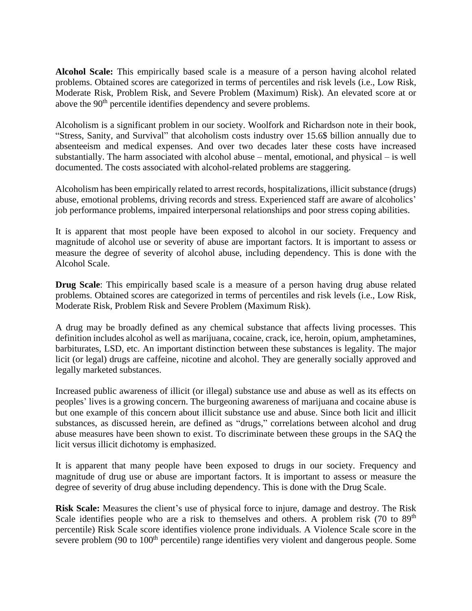**Alcohol Scale:** This empirically based scale is a measure of a person having alcohol related problems. Obtained scores are categorized in terms of percentiles and risk levels (i.e., Low Risk, Moderate Risk, Problem Risk, and Severe Problem (Maximum) Risk). An elevated score at or above the 90<sup>th</sup> percentile identifies dependency and severe problems.

Alcoholism is a significant problem in our society. Woolfork and Richardson note in their book, "Stress, Sanity, and Survival" that alcoholism costs industry over 15.6\$ billion annually due to absenteeism and medical expenses. And over two decades later these costs have increased substantially. The harm associated with alcohol abuse – mental, emotional, and physical – is well documented. The costs associated with alcohol-related problems are staggering.

Alcoholism has been empirically related to arrest records, hospitalizations, illicit substance (drugs) abuse, emotional problems, driving records and stress. Experienced staff are aware of alcoholics' job performance problems, impaired interpersonal relationships and poor stress coping abilities.

It is apparent that most people have been exposed to alcohol in our society. Frequency and magnitude of alcohol use or severity of abuse are important factors. It is important to assess or measure the degree of severity of alcohol abuse, including dependency. This is done with the Alcohol Scale.

**Drug Scale**: This empirically based scale is a measure of a person having drug abuse related problems. Obtained scores are categorized in terms of percentiles and risk levels (i.e., Low Risk, Moderate Risk, Problem Risk and Severe Problem (Maximum Risk).

A drug may be broadly defined as any chemical substance that affects living processes. This definition includes alcohol as well as marijuana, cocaine, crack, ice, heroin, opium, amphetamines, barbiturates, LSD, etc. An important distinction between these substances is legality. The major licit (or legal) drugs are caffeine, nicotine and alcohol. They are generally socially approved and legally marketed substances.

Increased public awareness of illicit (or illegal) substance use and abuse as well as its effects on peoples' lives is a growing concern. The burgeoning awareness of marijuana and cocaine abuse is but one example of this concern about illicit substance use and abuse. Since both licit and illicit substances, as discussed herein, are defined as "drugs," correlations between alcohol and drug abuse measures have been shown to exist. To discriminate between these groups in the SAQ the licit versus illicit dichotomy is emphasized.

It is apparent that many people have been exposed to drugs in our society. Frequency and magnitude of drug use or abuse are important factors. It is important to assess or measure the degree of severity of drug abuse including dependency. This is done with the Drug Scale.

**Risk Scale:** Measures the client's use of physical force to injure, damage and destroy. The Risk Scale identifies people who are a risk to themselves and others. A problem risk  $(70 \text{ to } 89^{\text{th}})$ percentile) Risk Scale score identifies violence prone individuals. A Violence Scale score in the severe problem (90 to 100<sup>th</sup> percentile) range identifies very violent and dangerous people. Some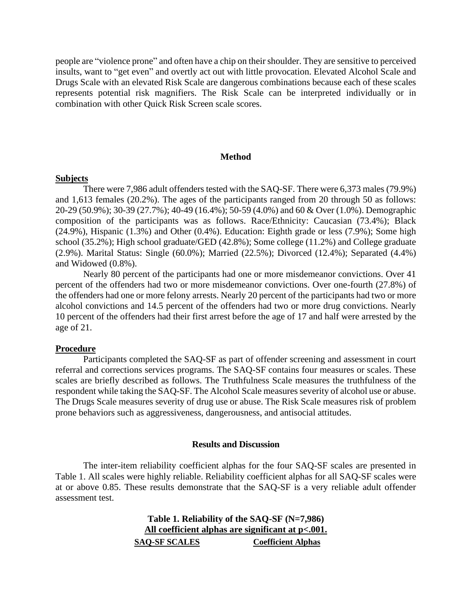people are "violence prone" and often have a chip on their shoulder. They are sensitive to perceived insults, want to "get even" and overtly act out with little provocation. Elevated Alcohol Scale and Drugs Scale with an elevated Risk Scale are dangerous combinations because each of these scales represents potential risk magnifiers. The Risk Scale can be interpreted individually or in combination with other Quick Risk Screen scale scores.

#### **Method**

#### **Subjects**

There were 7,986 adult offenders tested with the SAQ-SF. There were 6,373 males (79.9%) and 1,613 females (20.2%). The ages of the participants ranged from 20 through 50 as follows: 20-29 (50.9%); 30-39 (27.7%); 40-49 (16.4%); 50-59 (4.0%) and 60 & Over (1.0%). Demographic composition of the participants was as follows. Race/Ethnicity: Caucasian (73.4%); Black (24.9%), Hispanic (1.3%) and Other (0.4%). Education: Eighth grade or less (7.9%); Some high school (35.2%); High school graduate/GED (42.8%); Some college (11.2%) and College graduate (2.9%). Marital Status: Single (60.0%); Married (22.5%); Divorced (12.4%); Separated (4.4%) and Widowed (0.8%).

Nearly 80 percent of the participants had one or more misdemeanor convictions. Over 41 percent of the offenders had two or more misdemeanor convictions. Over one-fourth (27.8%) of the offenders had one or more felony arrests. Nearly 20 percent of the participants had two or more alcohol convictions and 14.5 percent of the offenders had two or more drug convictions. Nearly 10 percent of the offenders had their first arrest before the age of 17 and half were arrested by the age of 21.

# **Procedure**

Participants completed the SAQ-SF as part of offender screening and assessment in court referral and corrections services programs. The SAQ-SF contains four measures or scales. These scales are briefly described as follows. The Truthfulness Scale measures the truthfulness of the respondent while taking the SAQ-SF. The Alcohol Scale measures severity of alcohol use or abuse. The Drugs Scale measures severity of drug use or abuse. The Risk Scale measures risk of problem prone behaviors such as aggressiveness, dangerousness, and antisocial attitudes.

#### **Results and Discussion**

The inter-item reliability coefficient alphas for the four SAQ-SF scales are presented in Table 1. All scales were highly reliable. Reliability coefficient alphas for all SAQ-SF scales were at or above 0.85. These results demonstrate that the SAQ-SF is a very reliable adult offender assessment test.

> **Table 1. Reliability of the SAQ-SF (N=7,986) All coefficient alphas are significant at p<.001. SAQ-SF SCALES Coefficient Alphas**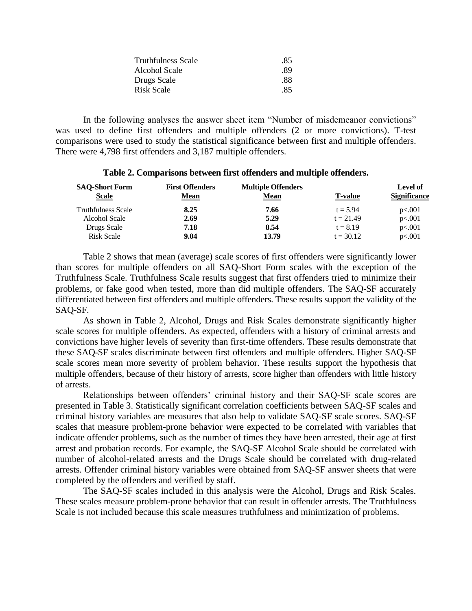| .85 |
|-----|
| -89 |
| -88 |
| -85 |
|     |

In the following analyses the answer sheet item "Number of misdemeanor convictions" was used to define first offenders and multiple offenders (2 or more convictions). T-test comparisons were used to study the statistical significance between first and multiple offenders. There were 4,798 first offenders and 3,187 multiple offenders.

#### **Table 2. Comparisons between first offenders and multiple offenders.**

| <b>SAO-Short Form</b><br><b>Scale</b> | <b>First Offenders</b><br><u>Mean</u> | <b>Multiple Offenders</b><br><u>Mean</u> | <b>T-value</b> | Level of<br><b>Significance</b> |
|---------------------------------------|---------------------------------------|------------------------------------------|----------------|---------------------------------|
| <b>Truthfulness Scale</b>             | 8.25                                  | 7.66                                     | $t = 5.94$     | p<.001                          |
| Alcohol Scale                         | 2.69                                  | 5.29                                     | $t = 21.49$    | p<.001                          |
| Drugs Scale                           | 7.18                                  | 8.54                                     | $t = 8.19$     | p<.001                          |
| <b>Risk Scale</b>                     | 9.04                                  | 13.79                                    | $t = 30.12$    | p<.001                          |

Table 2 shows that mean (average) scale scores of first offenders were significantly lower than scores for multiple offenders on all SAQ-Short Form scales with the exception of the Truthfulness Scale. Truthfulness Scale results suggest that first offenders tried to minimize their problems, or fake good when tested, more than did multiple offenders. The SAQ-SF accurately differentiated between first offenders and multiple offenders. These results support the validity of the SAQ-SF.

As shown in Table 2, Alcohol, Drugs and Risk Scales demonstrate significantly higher scale scores for multiple offenders. As expected, offenders with a history of criminal arrests and convictions have higher levels of severity than first-time offenders. These results demonstrate that these SAQ-SF scales discriminate between first offenders and multiple offenders. Higher SAQ-SF scale scores mean more severity of problem behavior. These results support the hypothesis that multiple offenders, because of their history of arrests, score higher than offenders with little history of arrests.

Relationships between offenders' criminal history and their SAQ-SF scale scores are presented in Table 3. Statistically significant correlation coefficients between SAQ-SF scales and criminal history variables are measures that also help to validate SAQ-SF scale scores. SAQ-SF scales that measure problem-prone behavior were expected to be correlated with variables that indicate offender problems, such as the number of times they have been arrested, their age at first arrest and probation records. For example, the SAQ-SF Alcohol Scale should be correlated with number of alcohol-related arrests and the Drugs Scale should be correlated with drug-related arrests. Offender criminal history variables were obtained from SAQ-SF answer sheets that were completed by the offenders and verified by staff.

The SAQ-SF scales included in this analysis were the Alcohol, Drugs and Risk Scales. These scales measure problem-prone behavior that can result in offender arrests. The Truthfulness Scale is not included because this scale measures truthfulness and minimization of problems.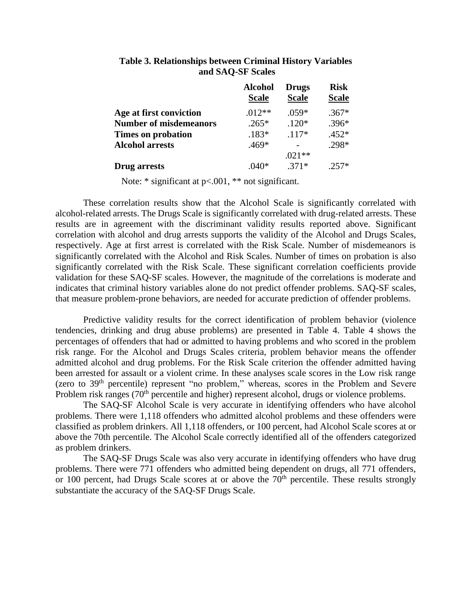|                               | <b>Alcohol</b><br><b>Scale</b> | <b>Drugs</b><br><b>Scale</b> | <b>Risk</b><br><b>Scale</b> |
|-------------------------------|--------------------------------|------------------------------|-----------------------------|
| Age at first conviction       | $.012**$                       | $.059*$                      | $.367*$                     |
| <b>Number of misdemeanors</b> | $.265*$                        | $.120*$                      | $.396*$                     |
| Times on probation            | $.183*$                        | $.117*$                      | $.452*$                     |
| <b>Alcohol arrests</b>        | $.469*$                        |                              | .298*                       |
|                               |                                | $.021**$                     |                             |
| Drug arrests                  | .040*                          | $.371*$                      | $.257*$                     |

# **Table 3. Relationships between Criminal History Variables and SAQ-SF Scales**

Note: \* significant at  $p<.001$ , \*\* not significant.

These correlation results show that the Alcohol Scale is significantly correlated with alcohol-related arrests. The Drugs Scale is significantly correlated with drug-related arrests. These results are in agreement with the discriminant validity results reported above. Significant correlation with alcohol and drug arrests supports the validity of the Alcohol and Drugs Scales, respectively. Age at first arrest is correlated with the Risk Scale. Number of misdemeanors is significantly correlated with the Alcohol and Risk Scales. Number of times on probation is also significantly correlated with the Risk Scale. These significant correlation coefficients provide validation for these SAQ-SF scales. However, the magnitude of the correlations is moderate and indicates that criminal history variables alone do not predict offender problems. SAQ-SF scales, that measure problem-prone behaviors, are needed for accurate prediction of offender problems.

Predictive validity results for the correct identification of problem behavior (violence tendencies, drinking and drug abuse problems) are presented in Table 4. Table 4 shows the percentages of offenders that had or admitted to having problems and who scored in the problem risk range. For the Alcohol and Drugs Scales criteria, problem behavior means the offender admitted alcohol and drug problems. For the Risk Scale criterion the offender admitted having been arrested for assault or a violent crime. In these analyses scale scores in the Low risk range (zero to 39th percentile) represent "no problem," whereas, scores in the Problem and Severe Problem risk ranges (70<sup>th</sup> percentile and higher) represent alcohol, drugs or violence problems.

The SAQ-SF Alcohol Scale is very accurate in identifying offenders who have alcohol problems. There were 1,118 offenders who admitted alcohol problems and these offenders were classified as problem drinkers. All 1,118 offenders, or 100 percent, had Alcohol Scale scores at or above the 70th percentile. The Alcohol Scale correctly identified all of the offenders categorized as problem drinkers.

The SAQ-SF Drugs Scale was also very accurate in identifying offenders who have drug problems. There were 771 offenders who admitted being dependent on drugs, all 771 offenders, or 100 percent, had Drugs Scale scores at or above the  $70<sup>th</sup>$  percentile. These results strongly substantiate the accuracy of the SAQ-SF Drugs Scale.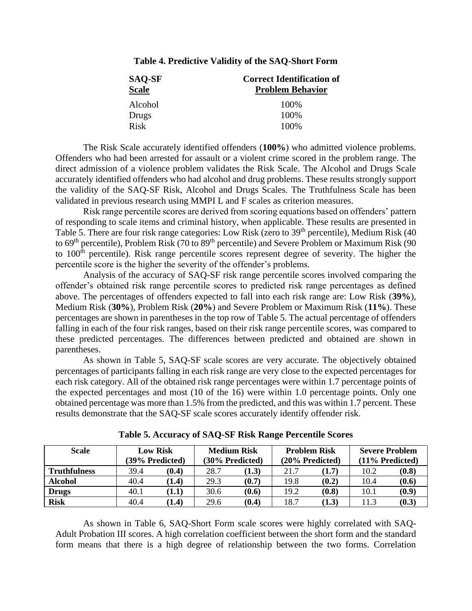| <b>SAQ-SF</b> | <b>Correct Identification of</b> |
|---------------|----------------------------------|
| <b>Scale</b>  | <b>Problem Behavior</b>          |
| Alcohol       | 100%                             |
| Drugs         | 100\%                            |
| Risk          | 100\%                            |

## **Table 4. Predictive Validity of the SAQ-Short Form**

The Risk Scale accurately identified offenders (**100%**) who admitted violence problems. Offenders who had been arrested for assault or a violent crime scored in the problem range. The direct admission of a violence problem validates the Risk Scale. The Alcohol and Drugs Scale accurately identified offenders who had alcohol and drug problems. These results strongly support the validity of the SAQ-SF Risk, Alcohol and Drugs Scales. The Truthfulness Scale has been validated in previous research using MMPI L and F scales as criterion measures.

Risk range percentile scores are derived from scoring equations based on offenders' pattern of responding to scale items and criminal history, when applicable. These results are presented in Table 5. There are four risk range categories: Low Risk (zero to  $39<sup>th</sup>$  percentile), Medium Risk (40) to 69<sup>th</sup> percentile), Problem Risk (70 to 89<sup>th</sup> percentile) and Severe Problem or Maximum Risk (90 to 100<sup>th</sup> percentile). Risk range percentile scores represent degree of severity. The higher the percentile score is the higher the severity of the offender's problems.

Analysis of the accuracy of SAQ-SF risk range percentile scores involved comparing the offender's obtained risk range percentile scores to predicted risk range percentages as defined above. The percentages of offenders expected to fall into each risk range are: Low Risk (**39%**), Medium Risk (**30%**), Problem Risk (**20%**) and Severe Problem or Maximum Risk (**11%**). These percentages are shown in parentheses in the top row of Table 5. The actual percentage of offenders falling in each of the four risk ranges, based on their risk range percentile scores, was compared to these predicted percentages. The differences between predicted and obtained are shown in parentheses.

As shown in Table 5, SAQ-SF scale scores are very accurate. The objectively obtained percentages of participants falling in each risk range are very close to the expected percentages for each risk category. All of the obtained risk range percentages were within 1.7 percentage points of the expected percentages and most (10 of the 16) were within 1.0 percentage points. Only one obtained percentage was more than 1.5% from the predicted, and this was within 1.7 percent. These results demonstrate that the SAQ-SF scale scores accurately identify offender risk.

| Scale               |      | <b>Low Risk</b><br><b>Medium Risk</b><br>(39% Predicted)<br>(30% Predicted) |      | <b>Problem Risk</b><br>(20% Predicted) |      | <b>Severe Problem</b><br>(11% Predicted) |      |       |
|---------------------|------|-----------------------------------------------------------------------------|------|----------------------------------------|------|------------------------------------------|------|-------|
| <b>Truthfulness</b> | 39.4 | (0.4)                                                                       | 28.7 | (1.3)                                  | 21.7 | (1.7)                                    | 10.2 | (0.8) |
| <b>Alcohol</b>      | 40.4 | (1.4)                                                                       | 29.3 | (0.7)                                  | 19.8 | (0.2)                                    | 10.4 | (0.6) |
| <b>Drugs</b>        | 40.1 | (1.1)                                                                       | 30.6 | (0.6)                                  | 19.2 | (0.8)                                    | 10.1 | (0.9) |
| <b>Risk</b>         | 40.4 | (1.4)                                                                       | 29.6 | (0.4)                                  | 18.7 | (1.3)                                    | 11.3 | (0.3) |

|  |  | Table 5. Accuracy of SAQ-SF Risk Range Percentile Scores |
|--|--|----------------------------------------------------------|
|--|--|----------------------------------------------------------|

As shown in Table 6, SAQ-Short Form scale scores were highly correlated with SAQ-Adult Probation III scores. A high correlation coefficient between the short form and the standard form means that there is a high degree of relationship between the two forms. Correlation